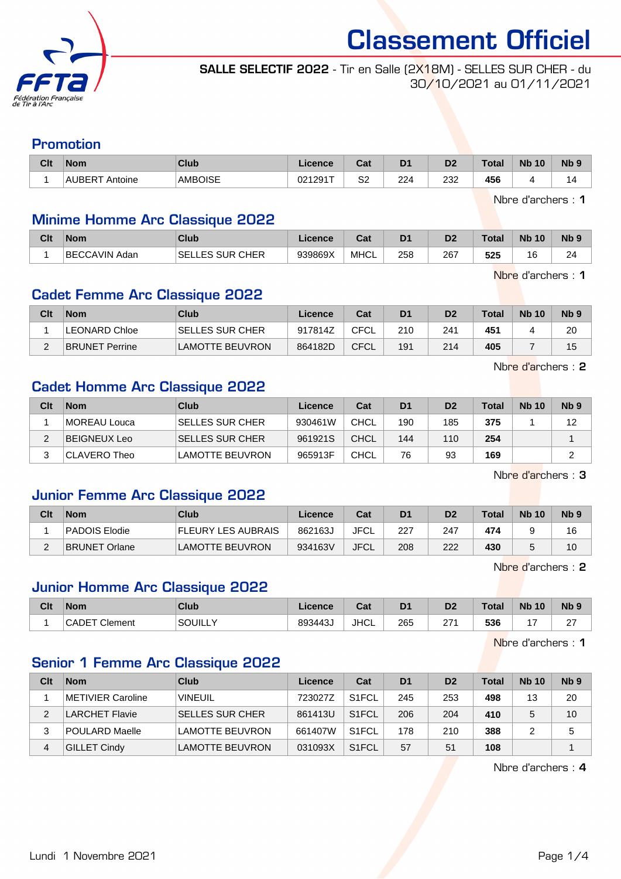

SALLE SELECTIF 2022 - Tir en Salle (2X18M) - SELLES SUR CHER - du 30/10/2021 au 01/11/2021

#### Promotion

| Clt | <b>Nom</b>                            | Club           | Licence | <b>Bath</b><br>ual | D <sub>1</sub> | D2  | $\tau$ otal | <b>Nb</b><br>10 | N <sub>b</sub> <sub>9</sub> |
|-----|---------------------------------------|----------------|---------|--------------------|----------------|-----|-------------|-----------------|-----------------------------|
|     | <b>AUBERT</b><br><sup>:</sup> Antoine | <b>AMBOISE</b> | 021291T | S2                 | 224            | 232 | 456         |                 | ا ک                         |

Nbre d'archers : 1

#### Minime Homme Arc Classique 2022

| Clt | <b>Nom</b>               | <b>Club</b>          | <b>Licence</b> | r.,<br>va. | D <sub>1</sub> | D <sub>2</sub> | Total | <b>Nb</b><br>10 | <b>N<sub>b</sub></b> |
|-----|--------------------------|----------------------|----------------|------------|----------------|----------------|-------|-----------------|----------------------|
|     | <b>BECCAVIN,</b><br>Adan | LLES SUR CHER<br>SEL | 939869X        | MHCL       | 258            | 267            | 525   | 16              | 2 <sub>1</sub><br>~  |

Nbre d'archers : 1

#### Cadet Femme Arc Classique 2022

| Clt | <b>Nom</b>            | Club                   | Licence | Cat         | D <sub>1</sub> | D <sub>2</sub> | $\tau$ otal | <b>Nb 10</b> | N <sub>b</sub> <sub>9</sub> |
|-----|-----------------------|------------------------|---------|-------------|----------------|----------------|-------------|--------------|-----------------------------|
|     | LEONARD Chloe         | <b>SELLES SUR CHER</b> | 917814Z | CFCL        | 210            | 241            | 451         |              | 20                          |
| C   | <b>BRUNET Perrine</b> | <b>LAMOTTE BEUVRON</b> | 864182D | <b>CFCL</b> | 191            | 214            | 405         |              | 15                          |

Nbre d'archers : 2

#### Cadet Homme Arc Classique 2022

| Clt | <b>Nom</b>   | Club                    | Licence | Cat         | D <sub>1</sub> | D <sub>2</sub> | $\tau$ otal | <b>Nb 10</b> | N <sub>b</sub> <sub>9</sub> |
|-----|--------------|-------------------------|---------|-------------|----------------|----------------|-------------|--------------|-----------------------------|
|     | MOREAU Louca | <b>ISELLES SUR CHER</b> | 930461W | CHCL        | 190            | 185            | 375         |              | 12                          |
|     | BEIGNEUX Leo | <b>SELLES SUR CHER</b>  | 961921S | <b>CHCL</b> | 144            | 110            | 254         |              |                             |
|     | CLAVERO Theo | <b>LAMOTTE BEUVRON</b>  | 965913F | CHCL        | 76             | 93             | 169         |              |                             |

Nbre d'archers : 3

#### Junior Femme Arc Classique 2022

| Clt | <b>Nom</b>           | Club                   | Licence | Cat         | D <sub>1</sub> | D2  | Total | <b>Nb 10</b> | N <sub>b</sub> <sub>9</sub> |
|-----|----------------------|------------------------|---------|-------------|----------------|-----|-------|--------------|-----------------------------|
|     | PADOIS Elodie        | FLEURY LES AUBRAIS     | 862163J | JFCL        | 227            | 247 | 474   |              | 16                          |
| -   | <b>BRUNET Orlane</b> | <b>LAMOTTE BEUVRON</b> | 934163V | <b>JFCL</b> | 208            | 222 | 430   |              | 10                          |

Nbre d'archers : 2

#### Junior Homme Arc Classique 2022

| Clt | <b>Nom</b>              | Club    | <b>Licence</b> | Cat         | D <sub>1</sub> | D <sub>0</sub><br>D, | Total | <b>Nb</b><br>10 | N <sub>b</sub> <sub>9</sub> |
|-----|-------------------------|---------|----------------|-------------|----------------|----------------------|-------|-----------------|-----------------------------|
|     | Clement<br><b>CADET</b> | SOUILLY | 893443         | <b>JHCL</b> | 265            | 57<br><u>_ 1</u>     | 536   |                 | $\sim$<br><u>_</u>          |

Nbre d'archers : 1

#### Senior 1 Femme Arc Classique 2022

| Clt | <b>Nom</b>          | Club                   | Licence | Cat                | D <sub>1</sub> | D <sub>2</sub> | <b>Total</b> | <b>Nb 10</b> | N <sub>b</sub> <sub>9</sub> |
|-----|---------------------|------------------------|---------|--------------------|----------------|----------------|--------------|--------------|-----------------------------|
|     | METIVIER Caroline   | <b>VINEUIL</b>         | 723027Z | S <sub>1</sub> FCL | 245            | 253            | 498          | 13           | 20                          |
| 2   | LARCHET Flavie      | <b>SELLES SUR CHER</b> | 861413U | S <sub>1</sub> FCL | 206            | 204            | 410          | 5            | 10                          |
| 3   | POULARD Maelle      | <b>LAMOTTE BEUVRON</b> | 661407W | S <sub>1</sub> FCL | 178            | 210            | 388          |              | 5                           |
| 4   | <b>GILLET Cindy</b> | <b>LAMOTTE BEUVRON</b> | 031093X | S <sub>1</sub> FCL | 57             | 51             | 108          |              |                             |

Nbre d'archers : 4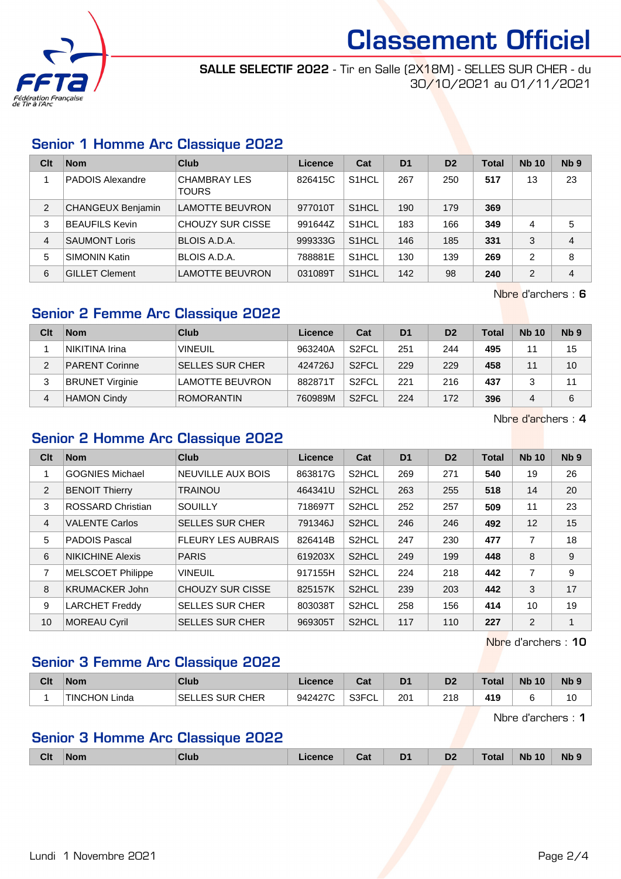

SALLE SELECTIF 2022 - Tir en Salle (2X18M) - SELLES SUR CHER - du 30/10/2021 au 01/11/2021

#### Senior 1 Homme Arc Classique 2022

| Clt | <b>Nom</b>               | Club                                | Licence | Cat                | D <sub>1</sub> | D <sub>2</sub> | <b>Total</b> | <b>Nb 10</b>  | Nb <sub>9</sub> |
|-----|--------------------------|-------------------------------------|---------|--------------------|----------------|----------------|--------------|---------------|-----------------|
|     | <b>PADOIS Alexandre</b>  | <b>CHAMBRAY LES</b><br><b>TOURS</b> | 826415C | S <sub>1</sub> HCL | 267            | 250            | 517          | 13            | 23              |
| 2   | <b>CHANGEUX Benjamin</b> | <b>LAMOTTE BEUVRON</b>              | 977010T | S <sub>1</sub> HCL | 190            | 179            | 369          |               |                 |
| 3   | <b>BEAUFILS Kevin</b>    | CHOUZY SUR CISSE                    | 991644Z | S <sub>1</sub> HCL | 183            | 166            | 349          | 4             | 5               |
| 4   | <b>SAUMONT Loris</b>     | BLOIS A.D.A.                        | 999333G | S <sub>1</sub> HCL | 146            | 185            | 331          | 3             | 4               |
| 5   | <b>SIMONIN Katin</b>     | BLOIS A.D.A.                        | 788881E | S <sub>1</sub> HCL | 130            | 139            | 269          | 2             | 8               |
| 6   | <b>GILLET Clement</b>    | <b>LAMOTTE BEUVRON</b>              | 031089T | S <sub>1</sub> HCL | 142            | 98             | 240          | $\mathcal{P}$ | 4               |

Nbre d'archers : 6

#### Senior 2 Femme Arc Classique 2022

| Clt | <b>Nom</b>             | Club                   | Licence | Cat                | D <sub>1</sub> | D <sub>2</sub> | Total | <b>Nb 10</b> | Nb <sub>9</sub> |
|-----|------------------------|------------------------|---------|--------------------|----------------|----------------|-------|--------------|-----------------|
|     | NIKITINA Irina         | <b>VINEUIL</b>         | 963240A | S <sub>2</sub> FCL | 251            | 244            | 495   | 44           | 15              |
| っ   | <b>PARENT Corinne</b>  | <b>SELLES SUR CHER</b> | 424726J | S <sub>2</sub> FCL | 229            | 229            | 458   | 11           | 10              |
|     | <b>BRUNET Virginie</b> | LAMOTTE BEUVRON        | 882871T | S <sub>2</sub> FCL | 221            | 216            | 437   |              | 11              |
| 4   | <b>HAMON Cindy</b>     | <b>ROMORANTIN</b>      | 760989M | S <sub>2</sub> FCL | 224            | 172            | 396   |              | 6               |

Nbre d'archers : 4

#### Senior 2 Homme Arc Classique 2022

| Clt            | <b>Nom</b>               | <b>Club</b>               | <b>Licence</b> | Cat                | D <sub>1</sub> | D <sub>2</sub> | <b>Total</b> | <b>Nb 10</b>   | N <sub>b</sub> <sub>9</sub> |
|----------------|--------------------------|---------------------------|----------------|--------------------|----------------|----------------|--------------|----------------|-----------------------------|
| 1              | <b>GOGNIES Michael</b>   | NEUVILLE AUX BOIS         | 863817G        | S <sub>2</sub> HCL | 269            | 271            | 540          | 19             | 26                          |
| $\overline{2}$ | <b>BENOIT Thierry</b>    | TRAINOU                   | 464341U        | S <sub>2</sub> HCL | 263            | 255            | 518          | 14             | 20                          |
| 3              | <b>ROSSARD Christian</b> | <b>SOUILLY</b>            | 718697T        | S <sub>2</sub> HCL | 252            | 257            | 509          | 11             | 23                          |
| 4              | <b>VALENTE Carlos</b>    | <b>SELLES SUR CHER</b>    | 791346J        | S <sub>2</sub> HCL | 246            | 246            | 492          | 12             | 15                          |
| 5              | <b>PADOIS Pascal</b>     | <b>FLEURY LES AUBRAIS</b> | 826414B        | S <sub>2</sub> HCL | 247            | 230            | 477          | 7              | 18                          |
| 6              | NIKICHINE Alexis         | <b>PARIS</b>              | 619203X        | S <sub>2</sub> HCL | 249            | 199            | 448          | 8              | 9                           |
| 7              | <b>MELSCOET Philippe</b> | <b>VINEUIL</b>            | 917155H        | S <sub>2</sub> HCL | 224            | 218            | 442          | 7              | 9                           |
| 8              | KRUMACKER John           | <b>CHOUZY SUR CISSE</b>   | 825157K        | S <sub>2</sub> HCL | 239            | 203            | 442          | 3              | 17                          |
| 9              | <b>LARCHET Freddy</b>    | <b>SELLES SUR CHER</b>    | 803038T        | S <sub>2</sub> HCL | 258            | 156            | 414          | 10             | 19                          |
| 10             | MOREAU Cyril             | <b>SELLES SUR CHER</b>    | 969305T        | S <sub>2</sub> HCL | 117            | 110            | 227          | $\overline{2}$ | 1                           |

Nbre d'archers : 10

### Senior 3 Femme Arc Classique 2022

| Clt | <b>Nom</b>           | Club                 | Licence | ◠⌒ィ<br>val | D <sub>1</sub> | D2  | <b>Total</b> | <b>N<sub>b</sub></b><br>10 | Nb <sub>9</sub> |
|-----|----------------------|----------------------|---------|------------|----------------|-----|--------------|----------------------------|-----------------|
|     | <b>TINCHON Linda</b> | LES SUR CHER<br>SELI | 942427C | S3FCL      | 201            | 218 | 419          |                            | 10              |

Nbre d'archers : 1

### Senior 3 Homme Arc Classique 2022

|  | <b>Clt</b><br>Club<br><b>Nom</b> | icence | ∪aι | D <sub>1</sub> | D <sub>2</sub> | Total | <b>N<sub>b</sub></b><br>$\sqrt{10}$ | Nb ! |
|--|----------------------------------|--------|-----|----------------|----------------|-------|-------------------------------------|------|
|--|----------------------------------|--------|-----|----------------|----------------|-------|-------------------------------------|------|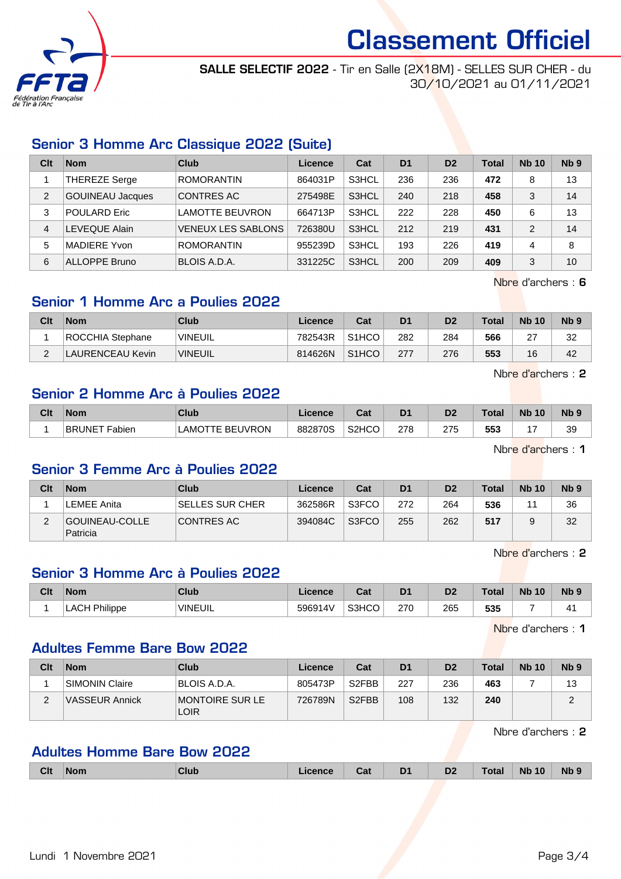

SALLE SELECTIF 2022 - Tir en Salle (2X18M) - SELLES SUR CHER - du 30/10/2021 au 01/11/2021

### Senior 3 Homme Arc Classique 2022 (Suite)

| Clt            | <b>Nom</b>              | Club                      | Licence | Cat   | D <sub>1</sub> | D <sub>2</sub> | <b>Total</b> | <b>Nb 10</b>  | N <sub>b</sub> <sub>9</sub> |
|----------------|-------------------------|---------------------------|---------|-------|----------------|----------------|--------------|---------------|-----------------------------|
|                | THEREZE Serge           | <b>ROMORANTIN</b>         | 864031P | S3HCL | 236            | 236            | 472          | 8             | 13                          |
| $\overline{2}$ | <b>GOUINEAU Jacques</b> | CONTRES AC                | 275498E | S3HCL | 240            | 218            | 458          | 3             | 14                          |
| 3              | POULARD Eric            | LAMOTTE BEUVRON           | 664713P | S3HCL | 222            | 228            | 450          | 6             | 13                          |
| 4              | EVEQUE Alain.           | <b>VENEUX LES SABLONS</b> | 726380U | S3HCL | 212            | 219            | 431          | $\mathcal{P}$ | 14                          |
| 5              | MADIERE Yvon            | <b>ROMORANTIN</b>         | 955239D | S3HCL | 193            | 226            | 419          | 4             | 8                           |
| 6              | <b>ALLOPPE Bruno</b>    | BLOIS A.D.A.              | 331225C | S3HCL | 200            | 209            | 409          | 3             | 10                          |

Nbre d'archers : 6

#### Senior 1 Homme Arc a Poulies 2022

| Clt | <b>Nom</b>       | Club                   | Licence | Cat                | D1  | D2  | Total | <b>Nb 10</b> | N <sub>b</sub> <sub>9</sub> |
|-----|------------------|------------------------|---------|--------------------|-----|-----|-------|--------------|-----------------------------|
|     | ROCCHIA Stephane | <b><i>`VINEUIL</i></b> | 782543R | S <sub>1</sub> HCO | 282 | 284 | 566   | $\sim$<br>ے  | 32                          |
|     | LAURENCEAU Kevin | VINEUIL                | 814626N | S <sub>1</sub> HCO | 277 | 276 | 553   | 16           | 42                          |

Nbre d'archers : 2

#### Senior 2 Homme Arc à Poulies 2022

| Clt | Nom                     | Club                               | icence  | ⊶ ∼<br>⊍a                      | D1  | D <sub>2</sub> | <b>Total</b> | <b>N<sub>b</sub></b><br>10 | <b>N<sub>b</sub></b> |
|-----|-------------------------|------------------------------------|---------|--------------------------------|-----|----------------|--------------|----------------------------|----------------------|
|     | <b>BRUNET</b><br>Fabien | <b>BEUVRON</b><br>∟AMO<br>$\vdash$ | 882870S | S <sub>2</sub> H <sub>CO</sub> | 278 | 275            | 553          |                            | 39                   |

Nbre d'archers : 1

#### Senior 3 Femme Arc à Poulies 2022

| Clt | <b>Nom</b>                 | Club                    | Licence | Cat   | D <sub>1</sub> | D <sub>2</sub> | <b>Total</b> | <b>Nb 10</b> | N <sub>b</sub> 9 |
|-----|----------------------------|-------------------------|---------|-------|----------------|----------------|--------------|--------------|------------------|
|     | LEMEE Anita                | <b>ISELLES SUR CHER</b> | 362586R | S3FCO | 272            | 264            | 536          |              | 36               |
| ົ   | GOUINEAU-COLLE<br>Patricia | CONTRES AC              | 394084C | S3FCO | 255            | 262            | 517          |              | 32               |

Nbre d'archers : 2

#### Senior 3 Homme Arc à Poulies 2022

| Clt | <b>Nom</b>       | <b>Club</b>     | Licence | <b>Date</b><br>⊍aι | D <sub>1</sub> | D <sub>2</sub> | <b>Total</b> | <b>Nb 10</b> | N <sub>b</sub> <sub>9</sub> |
|-----|------------------|-----------------|---------|--------------------|----------------|----------------|--------------|--------------|-----------------------------|
|     | Philippe<br>LACH | <b>'VINEUIL</b> | 596914V | S3HCO              | 270            | 265            | 535          |              | $\mathbf{1}^{\prime}$       |

Nbre d'archers : 1

#### Adultes Femme Bare Bow 2022

| Clt | <b>Nom</b>     | Club                    | Licence | Cat                | D <sub>1</sub> | D <sub>2</sub> | <b>Total</b> | <b>Nb 10</b> | N <sub>b</sub> <sub>9</sub> |
|-----|----------------|-------------------------|---------|--------------------|----------------|----------------|--------------|--------------|-----------------------------|
|     | SIMONIN Claire | BLOIS A.D.A.            | 805473P | S <sub>2</sub> FBB | 227            | 236            | 463          |              | 13                          |
| ∠   | VASSEUR Annick | MONTOIRE SUR LE<br>LOIR | 726789N | S <sub>2</sub> FBB | 108            | 132            | 240          |              |                             |

Nbre d'archers : 2

#### Adultes Homme Bare Bow 2022

| <b>Clt</b> | <b>Nom</b> | <b>Club</b> | icence | Cat | D <sub>1</sub> | D <sub>2</sub> | <b>Total</b> | <b>Nb 10</b> | Nb <sub>9</sub> |
|------------|------------|-------------|--------|-----|----------------|----------------|--------------|--------------|-----------------|
|            |            |             |        |     |                |                |              |              |                 |